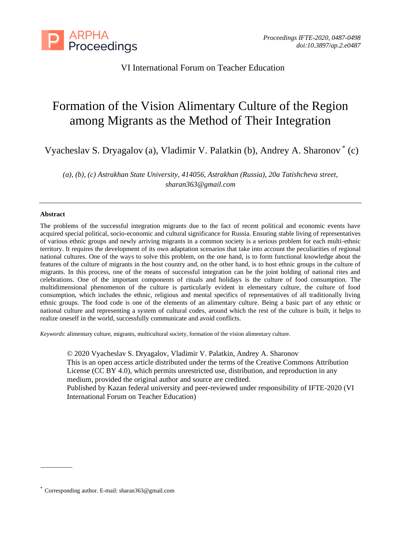

VI International Forum on Teacher Education

# Formation of the Vision Alimentary Culture of the Region among Migrants as the Method of Their Integration

Vyacheslav S. Dryagalov (a), Vladimir V. Palatkin (b), Andrey A. Sharonov \* (c)

*(a), (b), (c) Astrakhan State University, 414056, Astrakhan (Russia), 20a Tatishcheva street, sharan363@gmail.com*

## **Abstract**

The problems of the successful integration migrants due to the fact of recent political and economic events have acquired special political, socio-economic and cultural significance for Russia. Ensuring stable living of representatives of various ethnic groups and newly arriving migrants in a common society is a serious problem for each multi-ethnic territory. It requires the development of its own adaptation scenarios that take into account the peculiarities of regional national cultures. One of the ways to solve this problem, on the one hand, is to form functional knowledge about the features of the culture of migrants in the host country and, on the other hand, is to host ethnic groups in the culture of migrants. In this process, one of the means of successful integration can be the joint holding of national rites and celebrations. One of the important components of rituals and holidays is the culture of food consumption. The multidimensional phenomenon of the culture is particularly evident in elementary culture, the culture of food consumption, which includes the ethnic, religious and mental specifics of representatives of all traditionally living ethnic groups. The food code is one of the elements of an alimentary culture. Being a basic part of any ethnic or national culture and representing a system of cultural codes, around which the rest of the culture is built, it helps to realize oneself in the world, successfully communicate and avoid conflicts.

*Keywords*: alimentary culture, migrants, multicultural society, formation of the vision alimentary culture.

© 2020 Vyacheslav S. Dryagalov, Vladimir V. Palatkin, Andrey A. Sharonov This is an open access article distributed under the terms of the Creative Commons Attribution License (CC BY 4.0), which permits unrestricted use, distribution, and reproduction in any medium, provided the original author and source are credited.

Published by Kazan federal university and peer-reviewed under responsibility of IFTE-2020 (VI International Forum on Teacher Education)

<sup>\*</sup> Corresponding author. E-mail: sharan363@gmail.com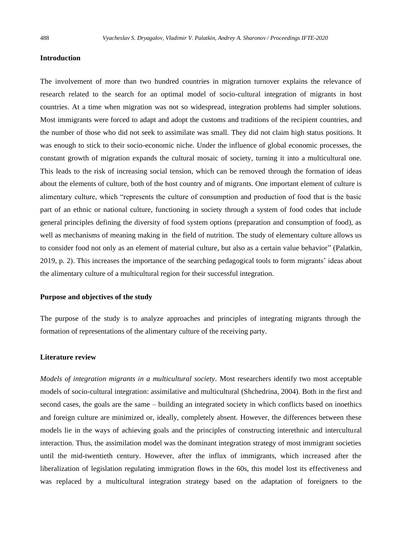## **Introduction**

The involvement of more than two hundred countries in migration turnover explains the relevance of research related to the search for an optimal model of socio-cultural integration of migrants in host countries. At a time when migration was not so widespread, integration problems had simpler solutions. Most immigrants were forced to adapt and adopt the customs and traditions of the recipient countries, and the number of those who did not seek to assimilate was small. They did not claim high status positions. It was enough to stick to their socio-economic niche. Under the influence of global economic processes, the constant growth of migration expands the cultural mosaic of society, turning it into a multicultural one. This leads to the risk of increasing social tension, which can be removed through the formation of ideas about the elements of culture, both of the host country and of migrants. One important element of culture is alimentary culture, which "represents the culture of consumption and production of food that is the basic part of an ethnic or national culture, functioning in society through a system of food codes that include general principles defining the diversity of food system options (preparation and consumption of food), as well as mechanisms of meaning making in the field of nutrition. The study of elementary culture allows us to consider food not only as an element of material culture, but also as a certain value behavior" (Palatkin, 2019, p. 2). This increases the importance of the searching pedagogical tools to form migrants' ideas about the alimentary culture of a multicultural region for their successful integration.

#### **Purpose and objectives of the study**

The purpose of the study is to analyze approaches and principles of integrating migrants through the formation of representations of the alimentary culture of the receiving party.

# **Literature review**

*Models of integration migrants in a multicultural society*. Most researchers identify two most acceptable models of socio-cultural integration: assimilative and multicultural (Shchedrina, 2004). Both in the first and second cases, the goals are the same – building an integrated society in which conflicts based on inoethics and foreign culture are minimized or, ideally, completely absent. However, the differences between these models lie in the ways of achieving goals and the principles of constructing interethnic and intercultural interaction. Thus, the assimilation model was the dominant integration strategy of most immigrant societies until the mid-twentieth century. However, after the influx of immigrants, which increased after the liberalization of legislation regulating immigration flows in the 60s, this model lost its effectiveness and was replaced by a multicultural integration strategy based on the adaptation of foreigners to the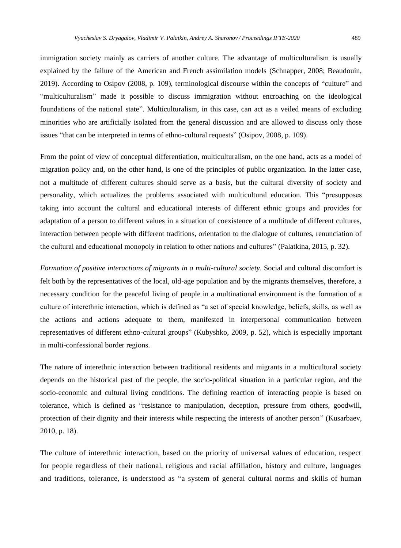immigration society mainly as carriers of another culture. The advantage of multiculturalism is usually explained by the failure of the American and French assimilation models (Schnapper, 2008; Beaudouin, 2019). According to Osipov (2008, p. 109), terminological discourse within the concepts of "culture" and "multiculturalism" made it possible to discuss immigration without encroaching on the ideological foundations of the national state". Multiculturalism, in this case, can act as a veiled means of excluding minorities who are artificially isolated from the general discussion and are allowed to discuss only those issues "that can be interpreted in terms of ethno-cultural requests" (Osipov, 2008, p. 109).

From the point of view of conceptual differentiation, multiculturalism, on the one hand, acts as a model of migration policy and, on the other hand, is one of the principles of public organization. In the latter case, not a multitude of different cultures should serve as a basis, but the cultural diversity of society and personality, which actualizes the problems associated with multicultural education. This "presupposes taking into account the cultural and educational interests of different ethnic groups and provides for adaptation of a person to different values in a situation of coexistence of a multitude of different cultures, interaction between people with different traditions, orientation to the dialogue of cultures, renunciation of the cultural and educational monopoly in relation to other nations and cultures" (Palatkina, 2015, p. 32).

*Formation of positive interactions of migrants in a multi-cultural society*. Social and cultural discomfort is felt both by the representatives of the local, old-age population and by the migrants themselves, therefore, a necessary condition for the peaceful living of people in a multinational environment is the formation of a culture of interethnic interaction, which is defined as "a set of special knowledge, beliefs, skills, as well as the actions and actions adequate to them, manifested in interpersonal communication between representatives of different ethno-cultural groups" (Kubyshko, 2009, p. 52), which is especially important in multi-confessional border regions.

The nature of interethnic interaction between traditional residents and migrants in a multicultural society depends on the historical past of the people, the socio-political situation in a particular region, and the socio-economic and cultural living conditions. The defining reaction of interacting people is based on tolerance, which is defined as "resistance to manipulation, deception, pressure from others, goodwill, protection of their dignity and their interests while respecting the interests of another person" (Kusarbaev, 2010, p. 18).

The culture of interethnic interaction, based on the priority of universal values of education, respect for people regardless of their national, religious and racial affiliation, history and culture, languages and traditions, tolerance, is understood as "a system of general cultural norms and skills of human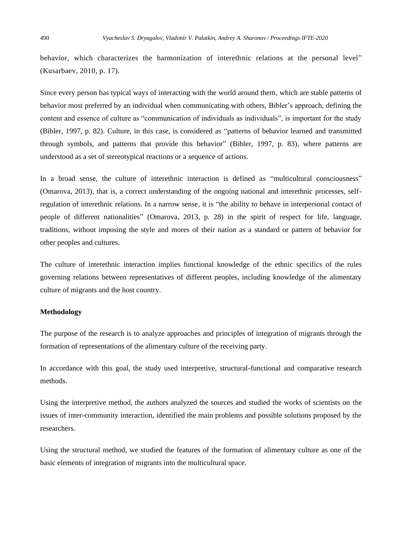behavior, which characterizes the harmonization of interethnic relations at the personal level" (Kusarbaev, 2010, p. 17).

Since every person has typical ways of interacting with the world around them, which are stable patterns of behavior most preferred by an individual when communicating with others, Bibler's approach, defining the content and essence of culture as "communication of individuals as individuals", is important for the study (Bibler, 1997, p. 82). Culture, in this case, is considered as "patterns of behavior learned and transmitted through symbols, and patterns that provide this behavior" (Bibler, 1997, p. 83), where patterns are understood as a set of stereotypical reactions or a sequence of actions.

In a broad sense, the culture of interethnic interaction is defined as "multicultural consciousness" (Omarova, 2013), that is, a correct understanding of the ongoing national and interethnic processes, selfregulation of interethnic relations. In a narrow sense, it is "the ability to behave in interpersonal contact of people of different nationalities" (Omarova, 2013, p. 28) in the spirit of respect for life, language, traditions, without imposing the style and mores of their nation as a standard or pattern of behavior for other peoples and cultures.

The culture of interethnic interaction implies functional knowledge of the ethnic specifics of the rules governing relations between representatives of different peoples, including knowledge of the alimentary culture of migrants and the host country.

#### **Methodology**

The purpose of the research is to analyze approaches and principles of integration of migrants through the formation of representations of the alimentary culture of the receiving party.

In accordance with this goal, the study used interpretive, structural-functional and comparative research methods.

Using the interpretive method, the authors analyzed the sources and studied the works of scientists on the issues of inter-community interaction, identified the main problems and possible solutions proposed by the researchers.

Using the structural method, we studied the features of the formation of alimentary culture as one of the basic elements of integration of migrants into the multicultural space.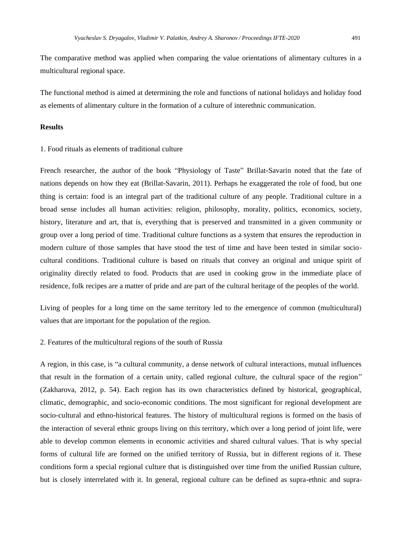The comparative method was applied when comparing the value orientations of alimentary cultures in a multicultural regional space.

The functional method is aimed at determining the role and functions of national holidays and holiday food as elements of alimentary culture in the formation of a culture of interethnic communication.

# **Results**

# 1. Food rituals as elements of traditional culture

French researcher, the author of the book "Physiology of Taste" Brillat-Savarin noted that the fate of nations depends on how they eat (Brillat-Savarin, 2011). Perhaps he exaggerated the role of food, but one thing is certain: food is an integral part of the traditional culture of any people. Traditional culture in a broad sense includes all human activities: religion, philosophy, morality, politics, economics, society, history, literature and art, that is, everything that is preserved and transmitted in a given community or group over a long period of time. Traditional culture functions as a system that ensures the reproduction in modern culture of those samples that have stood the test of time and have been tested in similar sociocultural conditions. Traditional culture is based on rituals that convey an original and unique spirit of originality directly related to food. Products that are used in cooking grow in the immediate place of residence, folk recipes are a matter of pride and are part of the cultural heritage of the peoples of the world.

Living of peoples for a long time on the same territory led to the emergence of common (multicultural) values that are important for the population of the region.

# 2. Features of the multicultural regions of the south of Russia

A region, in this case, is "a cultural community, a dense network of cultural interactions, mutual influences that result in the formation of a certain unity, called regional culture, the cultural space of the region" (Zakharova, 2012, p. 54). Each region has its own characteristics defined by historical, geographical, climatic, demographic, and socio-economic conditions. The most significant for regional development are socio-cultural and ethno-historical features. The history of multicultural regions is formed on the basis of the interaction of several ethnic groups living on this territory, which over a long period of joint life, were able to develop common elements in economic activities and shared cultural values. That is why special forms of cultural life are formed on the unified territory of Russia, but in different regions of it. These conditions form a special regional culture that is distinguished over time from the unified Russian culture, but is closely interrelated with it. In general, regional culture can be defined as supra-ethnic and supra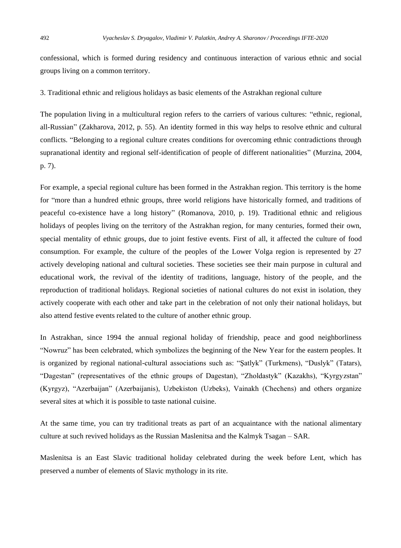confessional, which is formed during residency and continuous interaction of various ethnic and social groups living on a common territory.

3. Traditional ethnic and religious holidays as basic elements of the Astrakhan regional culture

The population living in a multicultural region refers to the carriers of various cultures: "ethnic, regional, all-Russian" (Zakharova, 2012, p. 55). An identity formed in this way helps to resolve ethnic and cultural conflicts. "Belonging to a regional culture creates conditions for overcoming ethnic contradictions through supranational identity and regional self-identification of people of different nationalities" (Murzina, 2004, p. 7).

For example, a special regional culture has been formed in the Astrakhan region. This territory is the home for "more than a hundred ethnic groups, three world religions have historically formed, and traditions of peaceful co-existence have a long history" (Romanova, 2010, p. 19). Traditional ethnic and religious holidays of peoples living on the territory of the Astrakhan region, for many centuries, formed their own, special mentality of ethnic groups, due to joint festive events. First of all, it affected the culture of food consumption. For example, the culture of the peoples of the Lower Volga region is represented by 27 actively developing national and cultural societies. These societies see their main purpose in cultural and educational work, the revival of the identity of traditions, language, history of the people, and the reproduction of traditional holidays. Regional societies of national cultures do not exist in isolation, they actively cooperate with each other and take part in the celebration of not only their national holidays, but also attend festive events related to the culture of another ethnic group.

In Astrakhan, since 1994 the annual regional holiday of friendship, peace and good neighborliness "Nowruz" has been celebrated, which symbolizes the beginning of the New Year for the eastern peoples. It is organized by regional national-cultural associations such as: "Şatlyk" (Turkmens), "Duslyk" (Tatars), "Dagestan" (representatives of the ethnic groups of Dagestan), "Zholdastyk" (Kazakhs), "Kyrgyzstan" (Kyrgyz), "Azerbaijan" (Azerbaijanis), Uzbekiston (Uzbeks), Vainakh (Chechens) and others organize several sites at which it is possible to taste national cuisine.

At the same time, you can try traditional treats as part of an acquaintance with the national alimentary culture at such revived holidays as the Russian Maslenitsa and the Kalmyk Tsagan – SAR.

Maslenitsa is an East Slavic traditional holiday celebrated during the week before Lent, which has preserved a number of elements of Slavic mythology in its rite.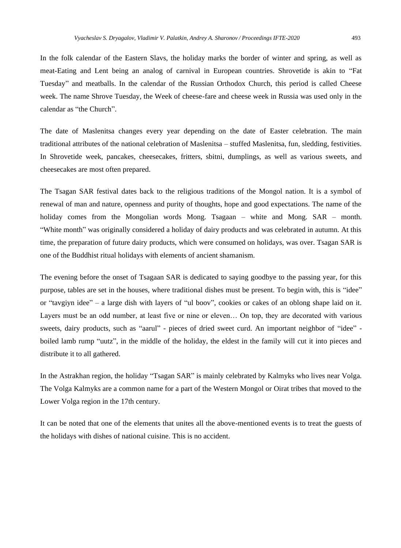In the folk calendar of the Eastern Slavs, the holiday marks the border of winter and spring, as well as meat-Eating and Lent being an analog of carnival in European countries. Shrovetide is akin to "Fat Tuesday" and meatballs. In the calendar of the Russian Orthodox Church, this period is called Cheese week. The name Shrove Tuesday, the Week of cheese-fare and cheese week in Russia was used only in the calendar as "the Church".

The date of Maslenitsa changes every year depending on the date of Easter celebration. The main traditional attributes of the national celebration of Maslenitsa – stuffed Maslenitsa, fun, sledding, festivities. In Shrovetide week, pancakes, cheesecakes, fritters, sbitni, dumplings, as well as various sweets, and cheesecakes are most often prepared.

The Tsagan SAR festival dates back to the religious traditions of the Mongol nation. It is a symbol of renewal of man and nature, openness and purity of thoughts, hope and good expectations. The name of the holiday comes from the Mongolian words Mong. Tsagaan – white and Mong. SAR – month. "White month" was originally considered a holiday of dairy products and was celebrated in autumn. At this time, the preparation of future dairy products, which were consumed on holidays, was over. Tsagan SAR is one of the Buddhist ritual holidays with elements of ancient shamanism.

The evening before the onset of Tsagaan SAR is dedicated to saying goodbye to the passing year, for this purpose, tables are set in the houses, where traditional dishes must be present. To begin with, this is "idee" or "tavgiyn idee" – a large dish with layers of "ul boov", cookies or cakes of an oblong shape laid on it. Layers must be an odd number, at least five or nine or eleven… On top, they are decorated with various sweets, dairy products, such as "aarul" - pieces of dried sweet curd. An important neighbor of "idee" boiled lamb rump "uutz", in the middle of the holiday, the eldest in the family will cut it into pieces and distribute it to all gathered.

In the Astrakhan region, the holiday "Tsagan SAR" is mainly celebrated by Kalmyks who lives near Volga. The Volga Kalmyks are a common name for a part of the Western Mongol or Oirat tribes that moved to the Lower Volga region in the 17th century.

It can be noted that one of the elements that unites all the above-mentioned events is to treat the guests of the holidays with dishes of national cuisine. This is no accident.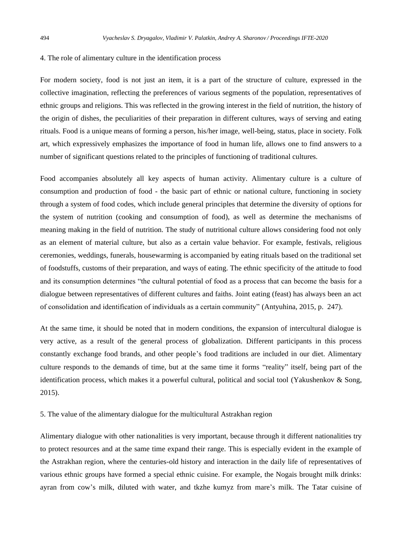#### 4. The role of alimentary culture in the identification process

For modern society, food is not just an item, it is a part of the structure of culture, expressed in the collective imagination, reflecting the preferences of various segments of the population, representatives of ethnic groups and religions. This was reflected in the growing interest in the field of nutrition, the history of the origin of dishes, the peculiarities of their preparation in different cultures, ways of serving and eating rituals. Food is a unique means of forming a person, his/her image, well-being, status, place in society. Folk art, which expressively emphasizes the importance of food in human life, allows one to find answers to a number of significant questions related to the principles of functioning of traditional cultures.

Food accompanies absolutely all key aspects of human activity. Alimentary culture is a culture of consumption and production of food - the basic part of ethnic or national culture, functioning in society through a system of food codes, which include general principles that determine the diversity of options for the system of nutrition (cooking and consumption of food), as well as determine the mechanisms of meaning making in the field of nutrition. The study of nutritional culture allows considering food not only as an element of material culture, but also as a certain value behavior. For example, festivals, religious ceremonies, weddings, funerals, housewarming is accompanied by eating rituals based on the traditional set of foodstuffs, customs of their preparation, and ways of eating. The ethnic specificity of the attitude to food and its consumption determines "the cultural potential of food as a process that can become the basis for a dialogue between representatives of different cultures and faiths. Joint eating (feast) has always been an act of consolidation and identification of individuals as a certain community" (Antyuhina, 2015, p. 247).

At the same time, it should be noted that in modern conditions, the expansion of intercultural dialogue is very active, as a result of the general process of globalization. Different participants in this process constantly exchange food brands, and other people's food traditions are included in our diet. Alimentary culture responds to the demands of time, but at the same time it forms "reality" itself, being part of the identification process, which makes it a powerful cultural, political and social tool (Yakushenkov & Song, 2015).

# 5. The value of the alimentary dialogue for the multicultural Astrakhan region

Alimentary dialogue with other nationalities is very important, because through it different nationalities try to protect resources and at the same time expand their range. This is especially evident in the example of the Astrakhan region, where the centuries-old history and interaction in the daily life of representatives of various ethnic groups have formed a special ethnic cuisine. For example, the Nogais brought milk drinks: ayran from cow's milk, diluted with water, and tkzhe kumyz from mare's milk. The Tatar cuisine of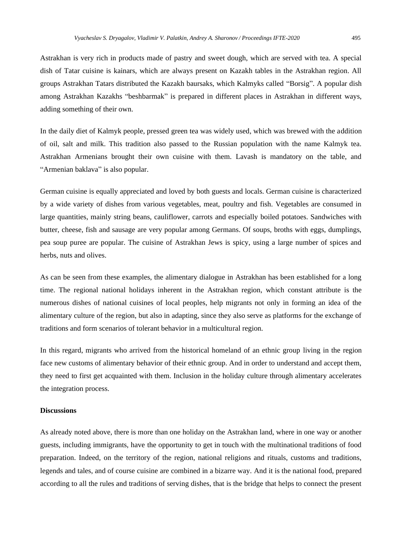Astrakhan is very rich in products made of pastry and sweet dough, which are served with tea. A special dish of Tatar cuisine is kainars, which are always present on Kazakh tables in the Astrakhan region. All groups Astrakhan Tatars distributed the Kazakh baursaks, which Kalmyks called "Borsig". A popular dish among Astrakhan Kazakhs "beshbarmak" is prepared in different places in Astrakhan in different ways, adding something of their own.

In the daily diet of Kalmyk people, pressed green tea was widely used, which was brewed with the addition of oil, salt and milk. This tradition also passed to the Russian population with the name Kalmyk tea. Astrakhan Armenians brought their own cuisine with them. Lavash is mandatory on the table, and "Armenian baklava" is also popular.

German cuisine is equally appreciated and loved by both guests and locals. German cuisine is characterized by a wide variety of dishes from various vegetables, meat, poultry and fish. Vegetables are consumed in large quantities, mainly string beans, cauliflower, carrots and especially boiled potatoes. Sandwiches with butter, cheese, fish and sausage are very popular among Germans. Of soups, broths with eggs, dumplings, pea soup puree are popular. The cuisine of Astrakhan Jews is spicy, using a large number of spices and herbs, nuts and olives.

As can be seen from these examples, the alimentary dialogue in Astrakhan has been established for a long time. The regional national holidays inherent in the Astrakhan region, which constant attribute is the numerous dishes of national cuisines of local peoples, help migrants not only in forming an idea of the alimentary culture of the region, but also in adapting, since they also serve as platforms for the exchange of traditions and form scenarios of tolerant behavior in a multicultural region.

In this regard, migrants who arrived from the historical homeland of an ethnic group living in the region face new customs of alimentary behavior of their ethnic group. And in order to understand and accept them, they need to first get acquainted with them. Inclusion in the holiday culture through alimentary accelerates the integration process.

## **Discussions**

As already noted above, there is more than one holiday on the Astrakhan land, where in one way or another guests, including immigrants, have the opportunity to get in touch with the multinational traditions of food preparation. Indeed, on the territory of the region, national religions and rituals, customs and traditions, legends and tales, and of course cuisine are combined in a bizarre way. And it is the national food, prepared according to all the rules and traditions of serving dishes, that is the bridge that helps to connect the present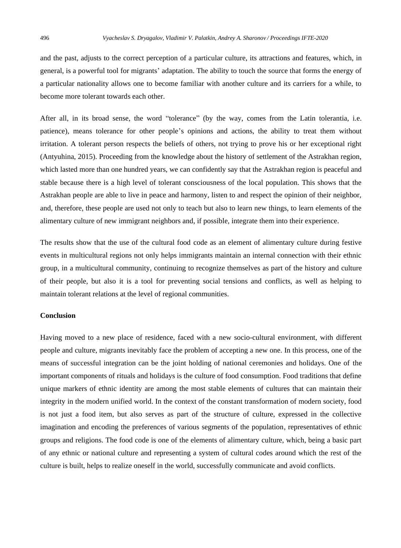and the past, adjusts to the correct perception of a particular culture, its attractions and features, which, in general, is a powerful tool for migrants' adaptation. The ability to touch the source that forms the energy of a particular nationality allows one to become familiar with another culture and its carriers for a while, to become more tolerant towards each other.

After all, in its broad sense, the word "tolerance" (by the way, comes from the Latin tolerantia, i.e. patience), means tolerance for other people's opinions and actions, the ability to treat them without irritation. A tolerant person respects the beliefs of others, not trying to prove his or her exceptional right (Antyuhina, 2015). Proceeding from the knowledge about the history of settlement of the Astrakhan region, which lasted more than one hundred years, we can confidently say that the Astrakhan region is peaceful and stable because there is a high level of tolerant consciousness of the local population. This shows that the Astrakhan people are able to live in peace and harmony, listen to and respect the opinion of their neighbor, and, therefore, these people are used not only to teach but also to learn new things, to learn elements of the alimentary culture of new immigrant neighbors and, if possible, integrate them into their experience.

The results show that the use of the cultural food code as an element of alimentary culture during festive events in multicultural regions not only helps immigrants maintain an internal connection with their ethnic group, in a multicultural community, continuing to recognize themselves as part of the history and culture of their people, but also it is a tool for preventing social tensions and conflicts, as well as helping to maintain tolerant relations at the level of regional communities.

#### **Conclusion**

Having moved to a new place of residence, faced with a new socio-cultural environment, with different people and culture, migrants inevitably face the problem of accepting a new one. In this process, one of the means of successful integration can be the joint holding of national ceremonies and holidays. One of the important components of rituals and holidays is the culture of food consumption. Food traditions that define unique markers of ethnic identity are among the most stable elements of cultures that can maintain their integrity in the modern unified world. In the context of the constant transformation of modern society, food is not just a food item, but also serves as part of the structure of culture, expressed in the collective imagination and encoding the preferences of various segments of the population, representatives of ethnic groups and religions. The food code is one of the elements of alimentary culture, which, being a basic part of any ethnic or national culture and representing a system of cultural codes around which the rest of the culture is built, helps to realize oneself in the world, successfully communicate and avoid conflicts.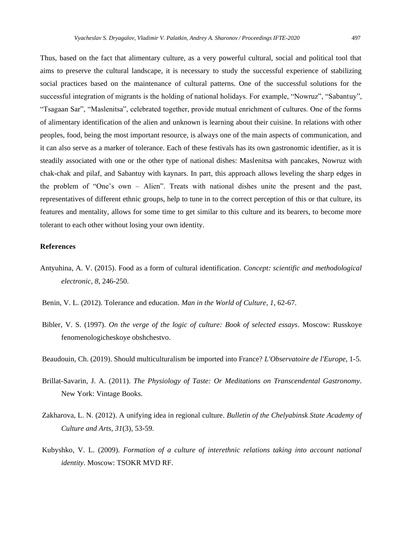Thus, based on the fact that alimentary culture, as a very powerful cultural, social and political tool that aims to preserve the cultural landscape, it is necessary to study the successful experience of stabilizing social practices based on the maintenance of cultural patterns. One of the successful solutions for the successful integration of migrants is the holding of national holidays. For example, "Nowruz", "Sabantuy", "Tsagaan Sar", "Maslenitsa", celebrated together, provide mutual enrichment of cultures. One of the forms of alimentary identification of the alien and unknown is learning about their cuisine. In relations with other peoples, food, being the most important resource, is always one of the main aspects of communication, and it can also serve as a marker of tolerance. Each of these festivals has its own gastronomic identifier, as it is steadily associated with one or the other type of national dishes: Maslenitsa with pancakes, Nowruz with chak-chak and pilaf, and Sabantuy with kaynars. In part, this approach allows leveling the sharp edges in the problem of "One's own – Alien". Treats with national dishes unite the present and the past, representatives of different ethnic groups, help to tune in to the correct perception of this or that culture, its features and mentality, allows for some time to get similar to this culture and its bearers, to become more tolerant to each other without losing your own identity.

## **References**

- Antyuhina, A. V. (2015). Food as a form of cultural identification. *Concept: scientific and methodological electronic, 8*, 246-250.
- Benin, V. L. (2012). Tolerance and education. *Man in the World of Culture, 1*, 62-67.
- Bibler, V. S. (1997). *On the verge of the logic of culture: Book of selected essays*. Moscow: Russkoye fenomenologicheskoye obshchestvo.
- Beaudouin, Ch. (2019). Should multiculturalism be imported into France? *L'Observatoire de l'Europe*, 1-5.
- Brillat-Savarin, J. A. (2011). *The Physiology of Taste: Or Meditations on Transcendental Gastronomy.* New York: Vintage Books.
- Zakharova, L. N. (2012). A unifying idea in regional culture. *Bulletin of the Chelyabinsk State Academy of Culture and Arts, 31*(3), 53-59.
- Kubyshko, V. L. (2009). *Formation of a culture of interethnic relations taking into account national identity*. Moscow: TSOKR MVD RF.